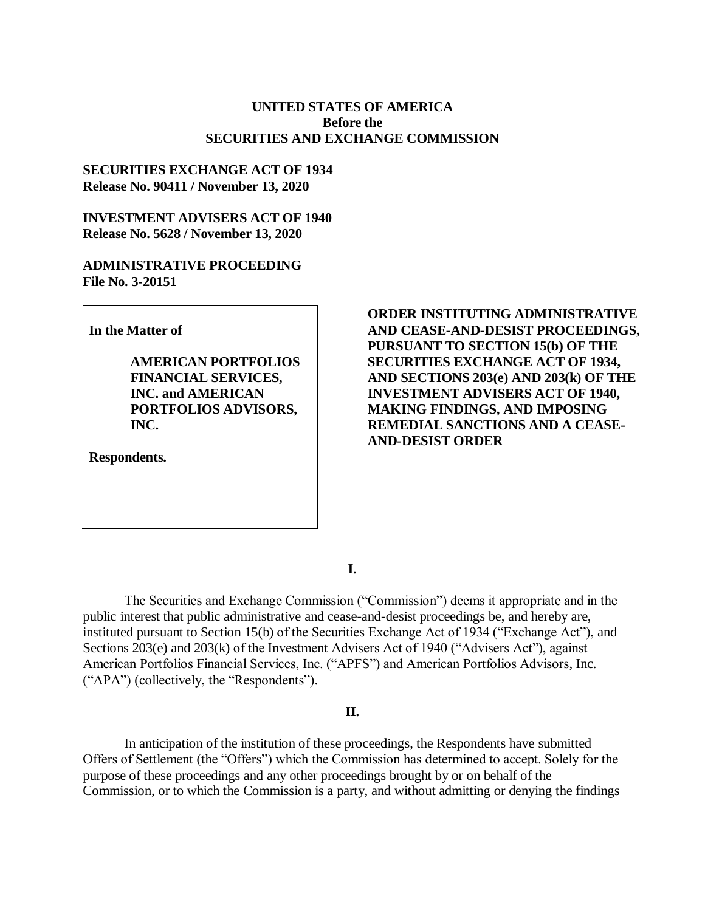# **UNITED STATES OF AMERICA Before the SECURITIES AND EXCHANGE COMMISSION**

# **SECURITIES EXCHANGE ACT OF 1934 Release No. 90411 / November 13, 2020**

## **INVESTMENT ADVISERS ACT OF 1940 Release No. 5628 / November 13, 2020**

# **ADMINISTRATIVE PROCEEDING File No. 3-20151**

**In the Matter of**

**AMERICAN PORTFOLIOS FINANCIAL SERVICES, INC. and AMERICAN PORTFOLIOS ADVISORS, INC.**

**Respondents.**

**ORDER INSTITUTING ADMINISTRATIVE AND CEASE-AND-DESIST PROCEEDINGS, PURSUANT TO SECTION 15(b) OF THE SECURITIES EXCHANGE ACT OF 1934, AND SECTIONS 203(e) AND 203(k) OF THE INVESTMENT ADVISERS ACT OF 1940, MAKING FINDINGS, AND IMPOSING REMEDIAL SANCTIONS AND A CEASE-AND-DESIST ORDER**

**I.**

The Securities and Exchange Commission ("Commission") deems it appropriate and in the public interest that public administrative and cease-and-desist proceedings be, and hereby are, instituted pursuant to Section 15(b) of the Securities Exchange Act of 1934 ("Exchange Act"), and Sections 203(e) and 203(k) of the Investment Advisers Act of 1940 ("Advisers Act"), against American Portfolios Financial Services, Inc. ("APFS") and American Portfolios Advisors, Inc. ("APA") (collectively, the "Respondents").

#### **II.**

In anticipation of the institution of these proceedings, the Respondents have submitted Offers of Settlement (the "Offers") which the Commission has determined to accept. Solely for the purpose of these proceedings and any other proceedings brought by or on behalf of the Commission, or to which the Commission is a party, and without admitting or denying the findings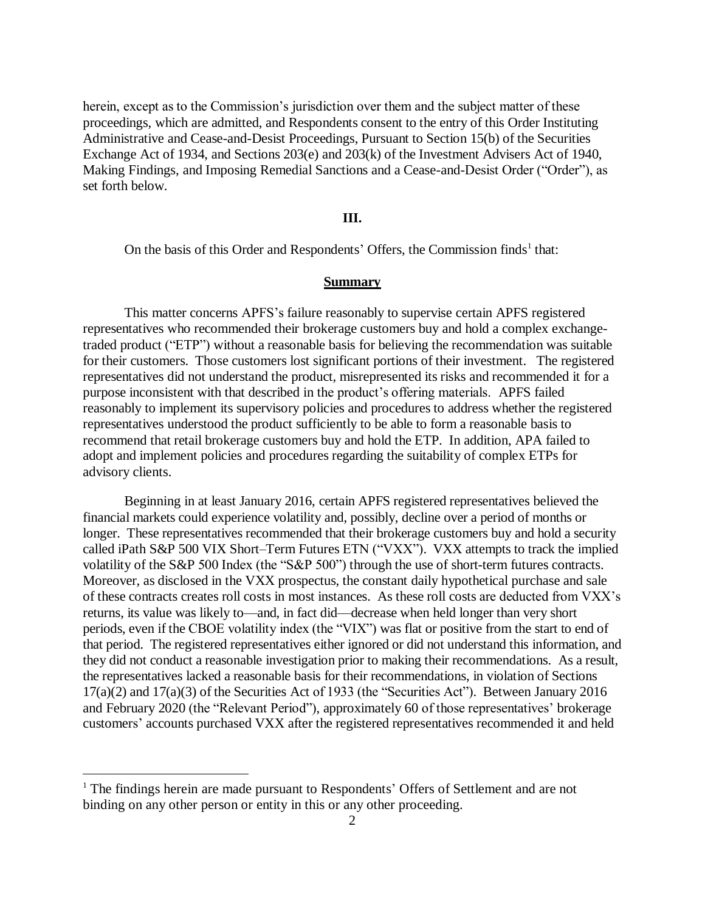herein, except as to the Commission's jurisdiction over them and the subject matter of these proceedings, which are admitted, and Respondents consent to the entry of this Order Instituting Administrative and Cease-and-Desist Proceedings, Pursuant to Section 15(b) of the Securities Exchange Act of 1934, and Sections 203(e) and 203(k) of the Investment Advisers Act of 1940, Making Findings, and Imposing Remedial Sanctions and a Cease-and-Desist Order ("Order"), as set forth below.

#### **III.**

On the basis of this Order and Respondents' Offers, the Commission finds<sup>1</sup> that:

#### **Summary**

This matter concerns APFS's failure reasonably to supervise certain APFS registered representatives who recommended their brokerage customers buy and hold a complex exchangetraded product ("ETP") without a reasonable basis for believing the recommendation was suitable for their customers. Those customers lost significant portions of their investment. The registered representatives did not understand the product, misrepresented its risks and recommended it for a purpose inconsistent with that described in the product's offering materials. APFS failed reasonably to implement its supervisory policies and procedures to address whether the registered representatives understood the product sufficiently to be able to form a reasonable basis to recommend that retail brokerage customers buy and hold the ETP. In addition, APA failed to adopt and implement policies and procedures regarding the suitability of complex ETPs for advisory clients.

Beginning in at least January 2016, certain APFS registered representatives believed the financial markets could experience volatility and, possibly, decline over a period of months or longer. These representatives recommended that their brokerage customers buy and hold a security called iPath S&P 500 VIX Short–Term Futures ETN ("VXX"). VXX attempts to track the implied volatility of the S&P 500 Index (the "S&P 500") through the use of short-term futures contracts. Moreover, as disclosed in the VXX prospectus, the constant daily hypothetical purchase and sale of these contracts creates roll costs in most instances. As these roll costs are deducted from VXX's returns, its value was likely to—and, in fact did—decrease when held longer than very short periods, even if the CBOE volatility index (the "VIX") was flat or positive from the start to end of that period. The registered representatives either ignored or did not understand this information, and they did not conduct a reasonable investigation prior to making their recommendations. As a result, the representatives lacked a reasonable basis for their recommendations, in violation of Sections 17(a)(2) and 17(a)(3) of the Securities Act of 1933 (the "Securities Act"). Between January 2016 and February 2020 (the "Relevant Period"), approximately 60 of those representatives' brokerage customers' accounts purchased VXX after the registered representatives recommended it and held

 $\overline{a}$ 

<sup>&</sup>lt;sup>1</sup> The findings herein are made pursuant to Respondents' Offers of Settlement and are not binding on any other person or entity in this or any other proceeding.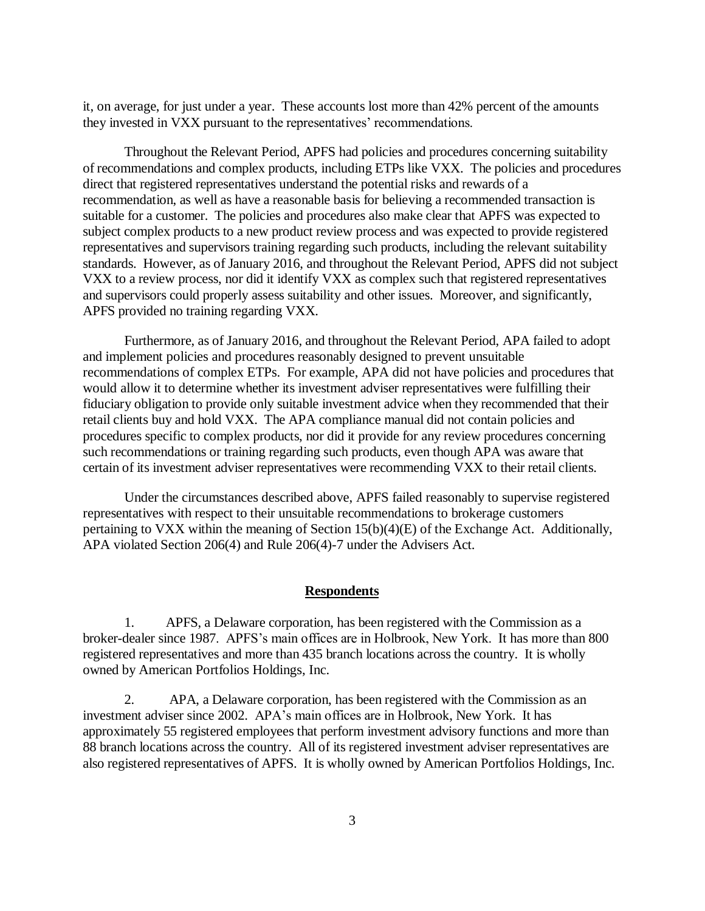it, on average, for just under a year. These accounts lost more than 42% percent of the amounts they invested in VXX pursuant to the representatives' recommendations.

Throughout the Relevant Period, APFS had policies and procedures concerning suitability of recommendations and complex products, including ETPs like VXX. The policies and procedures direct that registered representatives understand the potential risks and rewards of a recommendation, as well as have a reasonable basis for believing a recommended transaction is suitable for a customer. The policies and procedures also make clear that APFS was expected to subject complex products to a new product review process and was expected to provide registered representatives and supervisors training regarding such products, including the relevant suitability standards. However, as of January 2016, and throughout the Relevant Period, APFS did not subject VXX to a review process, nor did it identify VXX as complex such that registered representatives and supervisors could properly assess suitability and other issues. Moreover, and significantly, APFS provided no training regarding VXX.

Furthermore, as of January 2016, and throughout the Relevant Period, APA failed to adopt and implement policies and procedures reasonably designed to prevent unsuitable recommendations of complex ETPs. For example, APA did not have policies and procedures that would allow it to determine whether its investment adviser representatives were fulfilling their fiduciary obligation to provide only suitable investment advice when they recommended that their retail clients buy and hold VXX. The APA compliance manual did not contain policies and procedures specific to complex products, nor did it provide for any review procedures concerning such recommendations or training regarding such products, even though APA was aware that certain of its investment adviser representatives were recommending VXX to their retail clients.

Under the circumstances described above, APFS failed reasonably to supervise registered representatives with respect to their unsuitable recommendations to brokerage customers pertaining to VXX within the meaning of Section 15(b)(4)(E) of the Exchange Act. Additionally, APA violated Section 206(4) and Rule 206(4)-7 under the Advisers Act.

#### **Respondents**

1. APFS, a Delaware corporation, has been registered with the Commission as a broker-dealer since 1987. APFS's main offices are in Holbrook, New York. It has more than 800 registered representatives and more than 435 branch locations across the country. It is wholly owned by American Portfolios Holdings, Inc.

2. APA, a Delaware corporation, has been registered with the Commission as an investment adviser since 2002. APA's main offices are in Holbrook, New York. It has approximately 55 registered employees that perform investment advisory functions and more than 88 branch locations across the country. All of its registered investment adviser representatives are also registered representatives of APFS. It is wholly owned by American Portfolios Holdings, Inc.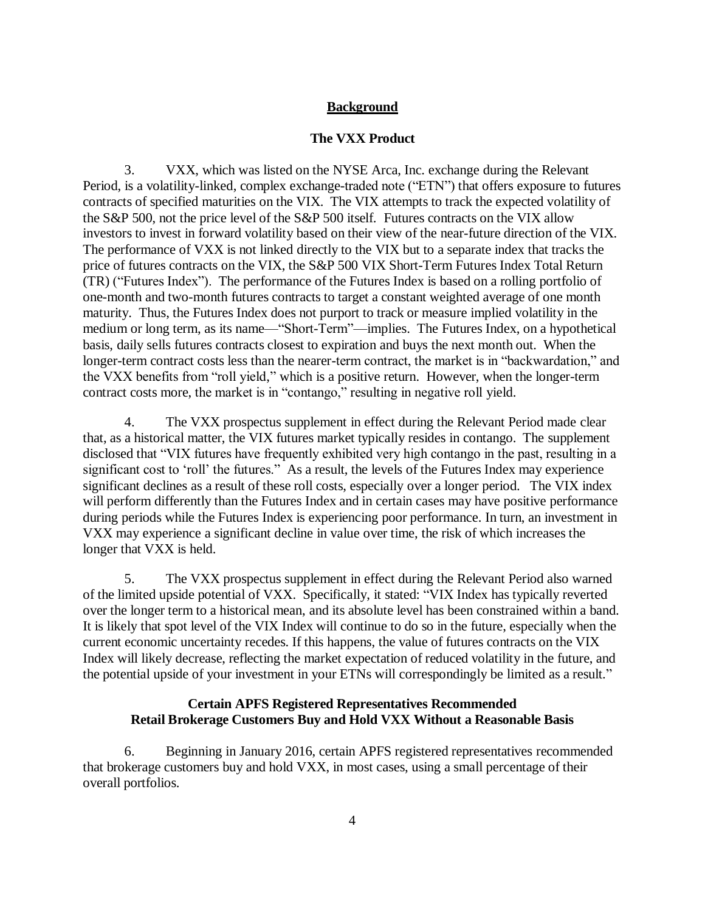# **Background**

### **The VXX Product**

3. VXX, which was listed on the NYSE Arca, Inc. exchange during the Relevant Period, is a volatility-linked, complex exchange-traded note ("ETN") that offers exposure to futures contracts of specified maturities on the VIX. The VIX attempts to track the expected volatility of the S&P 500, not the price level of the S&P 500 itself. Futures contracts on the VIX allow investors to invest in forward volatility based on their view of the near-future direction of the VIX. The performance of VXX is not linked directly to the VIX but to a separate index that tracks the price of futures contracts on the VIX, the S&P 500 VIX Short-Term Futures Index Total Return (TR) ("Futures Index"). The performance of the Futures Index is based on a rolling portfolio of one-month and two-month futures contracts to target a constant weighted average of one month maturity. Thus, the Futures Index does not purport to track or measure implied volatility in the medium or long term, as its name—"Short-Term"—implies. The Futures Index, on a hypothetical basis, daily sells futures contracts closest to expiration and buys the next month out. When the longer-term contract costs less than the nearer-term contract, the market is in "backwardation," and the VXX benefits from "roll yield," which is a positive return. However, when the longer-term contract costs more, the market is in "contango," resulting in negative roll yield.

4. The VXX prospectus supplement in effect during the Relevant Period made clear that, as a historical matter, the VIX futures market typically resides in contango. The supplement disclosed that "VIX futures have frequently exhibited very high contango in the past, resulting in a significant cost to 'roll' the futures." As a result, the levels of the Futures Index may experience significant declines as a result of these roll costs, especially over a longer period. The VIX index will perform differently than the Futures Index and in certain cases may have positive performance during periods while the Futures Index is experiencing poor performance. In turn, an investment in VXX may experience a significant decline in value over time, the risk of which increases the longer that VXX is held.

5. The VXX prospectus supplement in effect during the Relevant Period also warned of the limited upside potential of VXX. Specifically, it stated: "VIX Index has typically reverted over the longer term to a historical mean, and its absolute level has been constrained within a band. It is likely that spot level of the VIX Index will continue to do so in the future, especially when the current economic uncertainty recedes. If this happens, the value of futures contracts on the VIX Index will likely decrease, reflecting the market expectation of reduced volatility in the future, and the potential upside of your investment in your ETNs will correspondingly be limited as a result."

# **Certain APFS Registered Representatives Recommended Retail Brokerage Customers Buy and Hold VXX Without a Reasonable Basis**

6. Beginning in January 2016, certain APFS registered representatives recommended that brokerage customers buy and hold VXX, in most cases, using a small percentage of their overall portfolios.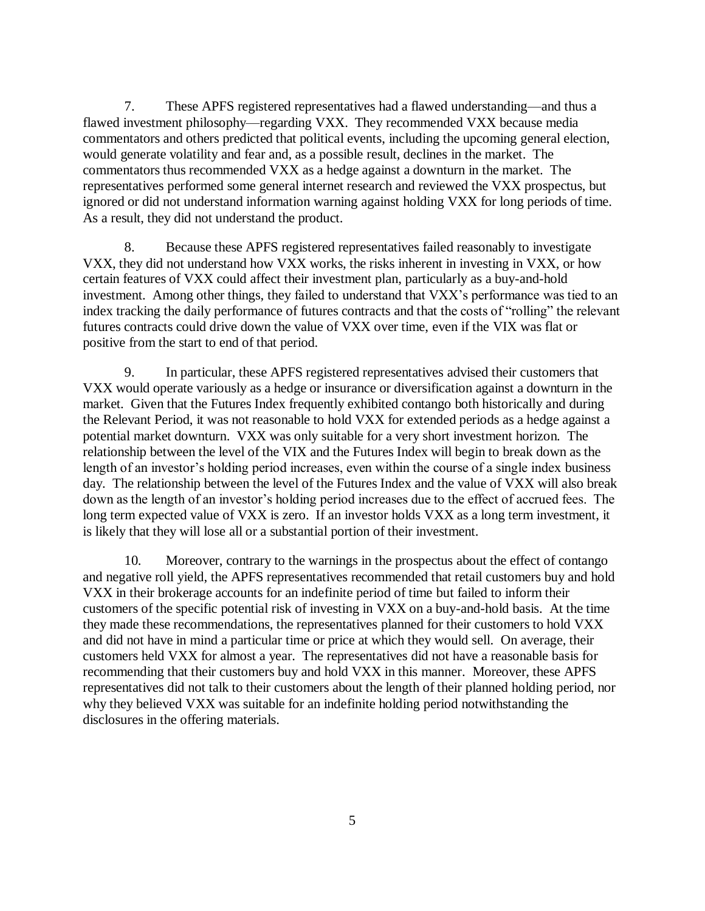7. These APFS registered representatives had a flawed understanding—and thus a flawed investment philosophy—regarding VXX. They recommended VXX because media commentators and others predicted that political events, including the upcoming general election, would generate volatility and fear and, as a possible result, declines in the market. The commentators thus recommended VXX as a hedge against a downturn in the market. The representatives performed some general internet research and reviewed the VXX prospectus, but ignored or did not understand information warning against holding VXX for long periods of time. As a result, they did not understand the product.

8. Because these APFS registered representatives failed reasonably to investigate VXX, they did not understand how VXX works, the risks inherent in investing in VXX, or how certain features of VXX could affect their investment plan, particularly as a buy-and-hold investment. Among other things, they failed to understand that VXX's performance was tied to an index tracking the daily performance of futures contracts and that the costs of "rolling" the relevant futures contracts could drive down the value of VXX over time, even if the VIX was flat or positive from the start to end of that period.

9. In particular, these APFS registered representatives advised their customers that VXX would operate variously as a hedge or insurance or diversification against a downturn in the market. Given that the Futures Index frequently exhibited contango both historically and during the Relevant Period, it was not reasonable to hold VXX for extended periods as a hedge against a potential market downturn. VXX was only suitable for a very short investment horizon. The relationship between the level of the VIX and the Futures Index will begin to break down as the length of an investor's holding period increases, even within the course of a single index business day. The relationship between the level of the Futures Index and the value of VXX will also break down as the length of an investor's holding period increases due to the effect of accrued fees. The long term expected value of VXX is zero. If an investor holds VXX as a long term investment, it is likely that they will lose all or a substantial portion of their investment.

10. Moreover, contrary to the warnings in the prospectus about the effect of contango and negative roll yield, the APFS representatives recommended that retail customers buy and hold VXX in their brokerage accounts for an indefinite period of time but failed to inform their customers of the specific potential risk of investing in VXX on a buy-and-hold basis. At the time they made these recommendations, the representatives planned for their customers to hold VXX and did not have in mind a particular time or price at which they would sell. On average, their customers held VXX for almost a year. The representatives did not have a reasonable basis for recommending that their customers buy and hold VXX in this manner. Moreover, these APFS representatives did not talk to their customers about the length of their planned holding period, nor why they believed VXX was suitable for an indefinite holding period notwithstanding the disclosures in the offering materials.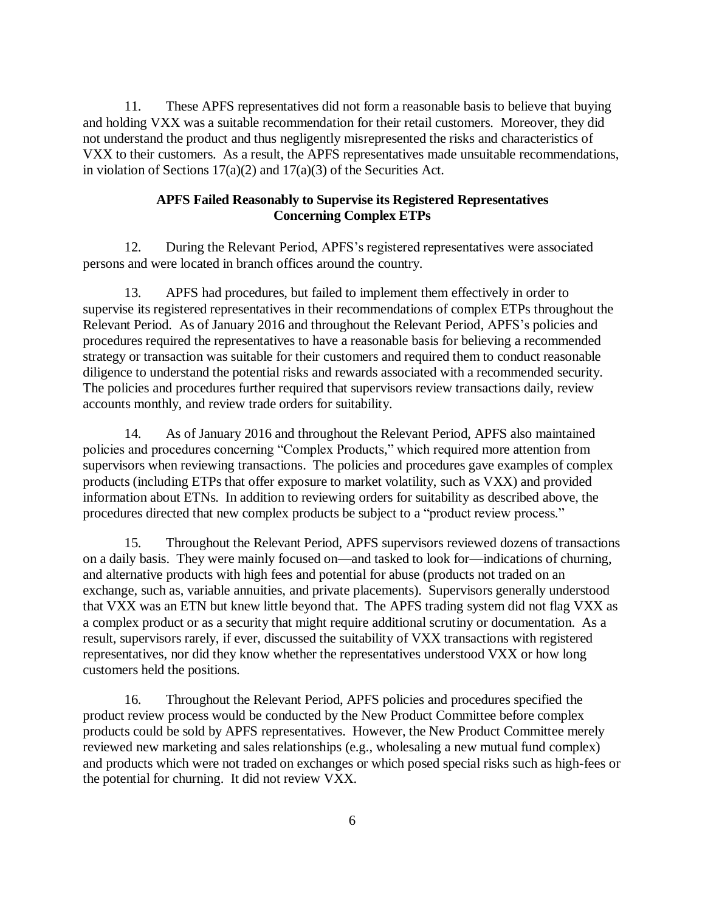11. These APFS representatives did not form a reasonable basis to believe that buying and holding VXX was a suitable recommendation for their retail customers. Moreover, they did not understand the product and thus negligently misrepresented the risks and characteristics of VXX to their customers. As a result, the APFS representatives made unsuitable recommendations, in violation of Sections  $17(a)(2)$  and  $17(a)(3)$  of the Securities Act.

### **APFS Failed Reasonably to Supervise its Registered Representatives Concerning Complex ETPs**

12. During the Relevant Period, APFS's registered representatives were associated persons and were located in branch offices around the country.

13. APFS had procedures, but failed to implement them effectively in order to supervise its registered representatives in their recommendations of complex ETPs throughout the Relevant Period. As of January 2016 and throughout the Relevant Period, APFS's policies and procedures required the representatives to have a reasonable basis for believing a recommended strategy or transaction was suitable for their customers and required them to conduct reasonable diligence to understand the potential risks and rewards associated with a recommended security. The policies and procedures further required that supervisors review transactions daily, review accounts monthly, and review trade orders for suitability.

14. As of January 2016 and throughout the Relevant Period, APFS also maintained policies and procedures concerning "Complex Products," which required more attention from supervisors when reviewing transactions. The policies and procedures gave examples of complex products (including ETPs that offer exposure to market volatility, such as VXX) and provided information about ETNs. In addition to reviewing orders for suitability as described above, the procedures directed that new complex products be subject to a "product review process."

15. Throughout the Relevant Period, APFS supervisors reviewed dozens of transactions on a daily basis. They were mainly focused on—and tasked to look for—indications of churning, and alternative products with high fees and potential for abuse (products not traded on an exchange, such as, variable annuities, and private placements). Supervisors generally understood that VXX was an ETN but knew little beyond that. The APFS trading system did not flag VXX as a complex product or as a security that might require additional scrutiny or documentation. As a result, supervisors rarely, if ever, discussed the suitability of VXX transactions with registered representatives, nor did they know whether the representatives understood VXX or how long customers held the positions.

16. Throughout the Relevant Period, APFS policies and procedures specified the product review process would be conducted by the New Product Committee before complex products could be sold by APFS representatives. However, the New Product Committee merely reviewed new marketing and sales relationships (e.g., wholesaling a new mutual fund complex) and products which were not traded on exchanges or which posed special risks such as high-fees or the potential for churning. It did not review VXX.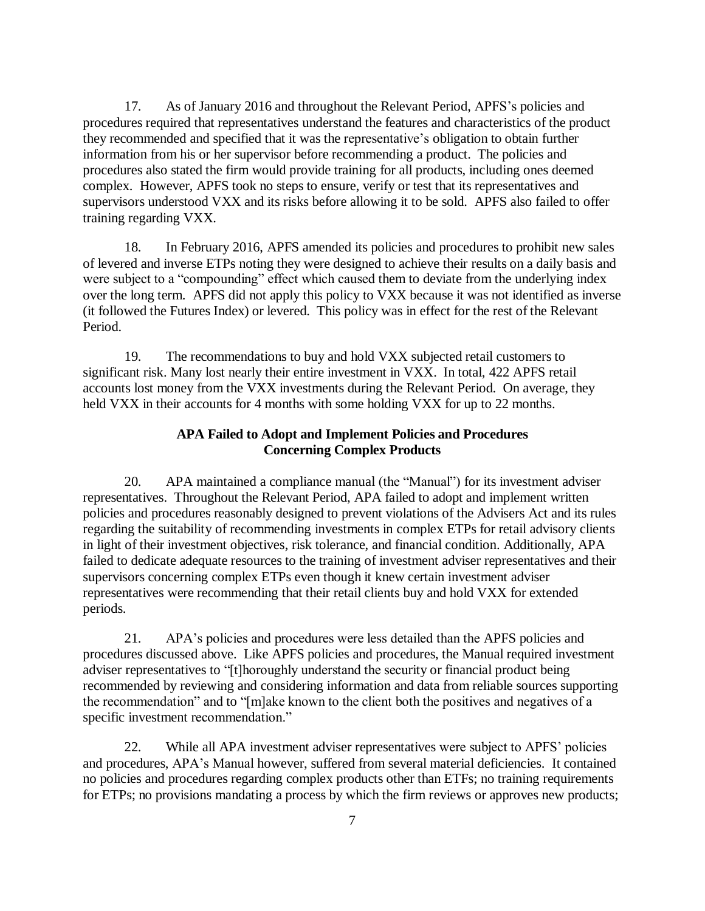17. As of January 2016 and throughout the Relevant Period, APFS's policies and procedures required that representatives understand the features and characteristics of the product they recommended and specified that it was the representative's obligation to obtain further information from his or her supervisor before recommending a product. The policies and procedures also stated the firm would provide training for all products, including ones deemed complex. However, APFS took no steps to ensure, verify or test that its representatives and supervisors understood VXX and its risks before allowing it to be sold. APFS also failed to offer training regarding VXX.

18. In February 2016, APFS amended its policies and procedures to prohibit new sales of levered and inverse ETPs noting they were designed to achieve their results on a daily basis and were subject to a "compounding" effect which caused them to deviate from the underlying index over the long term. APFS did not apply this policy to VXX because it was not identified as inverse (it followed the Futures Index) or levered. This policy was in effect for the rest of the Relevant Period.

19. The recommendations to buy and hold VXX subjected retail customers to significant risk. Many lost nearly their entire investment in VXX. In total, 422 APFS retail accounts lost money from the VXX investments during the Relevant Period. On average, they held VXX in their accounts for 4 months with some holding VXX for up to 22 months.

# **APA Failed to Adopt and Implement Policies and Procedures Concerning Complex Products**

20. APA maintained a compliance manual (the "Manual") for its investment adviser representatives. Throughout the Relevant Period, APA failed to adopt and implement written policies and procedures reasonably designed to prevent violations of the Advisers Act and its rules regarding the suitability of recommending investments in complex ETPs for retail advisory clients in light of their investment objectives, risk tolerance, and financial condition. Additionally, APA failed to dedicate adequate resources to the training of investment adviser representatives and their supervisors concerning complex ETPs even though it knew certain investment adviser representatives were recommending that their retail clients buy and hold VXX for extended periods.

21. APA's policies and procedures were less detailed than the APFS policies and procedures discussed above. Like APFS policies and procedures, the Manual required investment adviser representatives to "[t]horoughly understand the security or financial product being recommended by reviewing and considering information and data from reliable sources supporting the recommendation" and to "[m]ake known to the client both the positives and negatives of a specific investment recommendation."

22. While all APA investment adviser representatives were subject to APFS' policies and procedures, APA's Manual however, suffered from several material deficiencies. It contained no policies and procedures regarding complex products other than ETFs; no training requirements for ETPs; no provisions mandating a process by which the firm reviews or approves new products;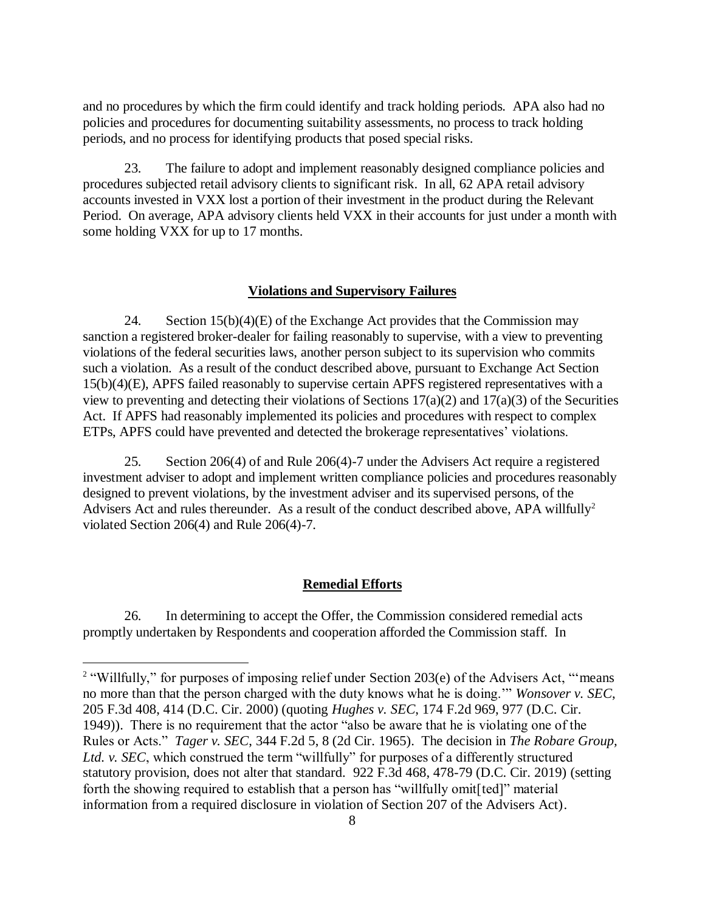and no procedures by which the firm could identify and track holding periods. APA also had no policies and procedures for documenting suitability assessments, no process to track holding periods, and no process for identifying products that posed special risks.

23. The failure to adopt and implement reasonably designed compliance policies and procedures subjected retail advisory clients to significant risk. In all, 62 APA retail advisory accounts invested in VXX lost a portion of their investment in the product during the Relevant Period. On average, APA advisory clients held VXX in their accounts for just under a month with some holding VXX for up to 17 months.

#### **Violations and Supervisory Failures**

24. Section  $15(b)(4)(E)$  of the Exchange Act provides that the Commission may sanction a registered broker-dealer for failing reasonably to supervise, with a view to preventing violations of the federal securities laws, another person subject to its supervision who commits such a violation. As a result of the conduct described above, pursuant to Exchange Act Section 15(b)(4)(E), APFS failed reasonably to supervise certain APFS registered representatives with a view to preventing and detecting their violations of Sections  $17(a)(2)$  and  $17(a)(3)$  of the Securities Act. If APFS had reasonably implemented its policies and procedures with respect to complex ETPs, APFS could have prevented and detected the brokerage representatives' violations.

25. Section 206(4) of and Rule 206(4)-7 under the Advisers Act require a registered investment adviser to adopt and implement written compliance policies and procedures reasonably designed to prevent violations, by the investment adviser and its supervised persons, of the Advisers Act and rules thereunder. As a result of the conduct described above, APA willfully<sup>2</sup> violated Section 206(4) and Rule 206(4)-7.

### **Remedial Efforts**

26. In determining to accept the Offer, the Commission considered remedial acts promptly undertaken by Respondents and cooperation afforded the Commission staff*.* In

 $\overline{a}$ 

<sup>&</sup>lt;sup>2</sup> "Willfully," for purposes of imposing relief under Section 203(e) of the Advisers Act, "means no more than that the person charged with the duty knows what he is doing.'" *Wonsover v. SEC*, 205 F.3d 408, 414 (D.C. Cir. 2000) (quoting *Hughes v. SEC*, 174 F.2d 969, 977 (D.C. Cir. 1949)). There is no requirement that the actor "also be aware that he is violating one of the Rules or Acts." *Tager v. SEC*, 344 F.2d 5, 8 (2d Cir. 1965). The decision in *The Robare Group, Ltd. v. SEC*, which construed the term "willfully" for purposes of a differently structured statutory provision, does not alter that standard. 922 F.3d 468, 478-79 (D.C. Cir. 2019) (setting forth the showing required to establish that a person has "willfully omit[ted]" material information from a required disclosure in violation of Section 207 of the Advisers Act).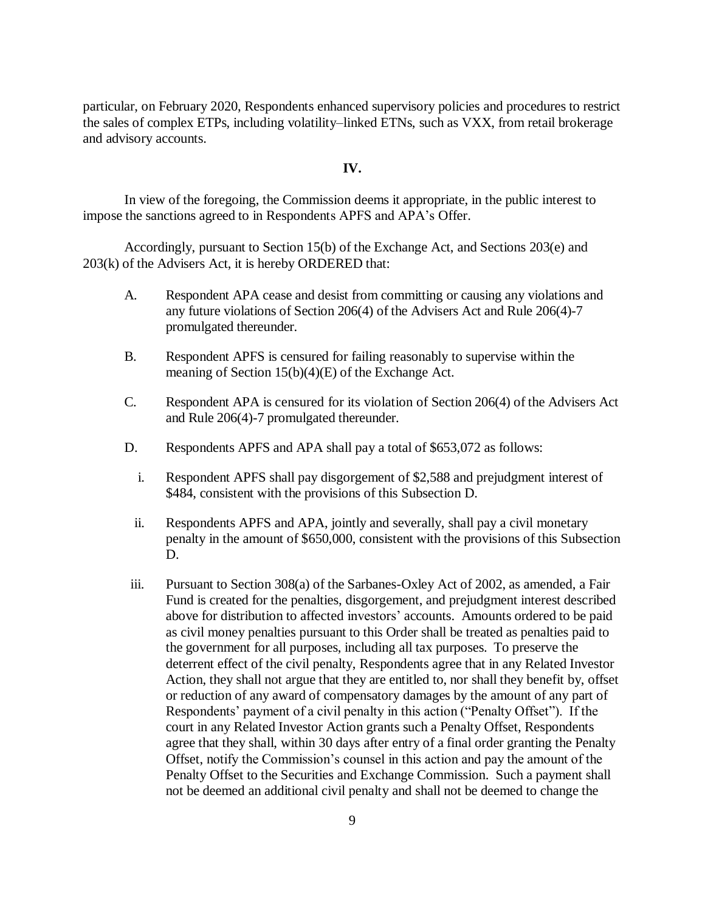particular, on February 2020, Respondents enhanced supervisory policies and procedures to restrict the sales of complex ETPs, including volatility–linked ETNs, such as VXX, from retail brokerage and advisory accounts.

#### **IV.**

In view of the foregoing, the Commission deems it appropriate, in the public interest to impose the sanctions agreed to in Respondents APFS and APA's Offer.

Accordingly, pursuant to Section 15(b) of the Exchange Act, and Sections 203(e) and 203(k) of the Advisers Act, it is hereby ORDERED that:

- A. Respondent APA cease and desist from committing or causing any violations and any future violations of Section 206(4) of the Advisers Act and Rule 206(4)-7 promulgated thereunder.
- B. Respondent APFS is censured for failing reasonably to supervise within the meaning of Section 15(b)(4)(E) of the Exchange Act.
- C. Respondent APA is censured for its violation of Section 206(4) of the Advisers Act and Rule 206(4)-7 promulgated thereunder.
- D. Respondents APFS and APA shall pay a total of \$653,072 as follows:
	- i. Respondent APFS shall pay disgorgement of \$2,588 and prejudgment interest of \$484, consistent with the provisions of this Subsection D.
	- ii. Respondents APFS and APA, jointly and severally, shall pay a civil monetary penalty in the amount of \$650,000, consistent with the provisions of this Subsection D.
- iii. Pursuant to Section 308(a) of the Sarbanes-Oxley Act of 2002, as amended, a Fair Fund is created for the penalties, disgorgement, and prejudgment interest described above for distribution to affected investors' accounts. Amounts ordered to be paid as civil money penalties pursuant to this Order shall be treated as penalties paid to the government for all purposes, including all tax purposes. To preserve the deterrent effect of the civil penalty, Respondents agree that in any Related Investor Action, they shall not argue that they are entitled to, nor shall they benefit by, offset or reduction of any award of compensatory damages by the amount of any part of Respondents' payment of a civil penalty in this action ("Penalty Offset"). If the court in any Related Investor Action grants such a Penalty Offset, Respondents agree that they shall, within 30 days after entry of a final order granting the Penalty Offset, notify the Commission's counsel in this action and pay the amount of the Penalty Offset to the Securities and Exchange Commission. Such a payment shall not be deemed an additional civil penalty and shall not be deemed to change the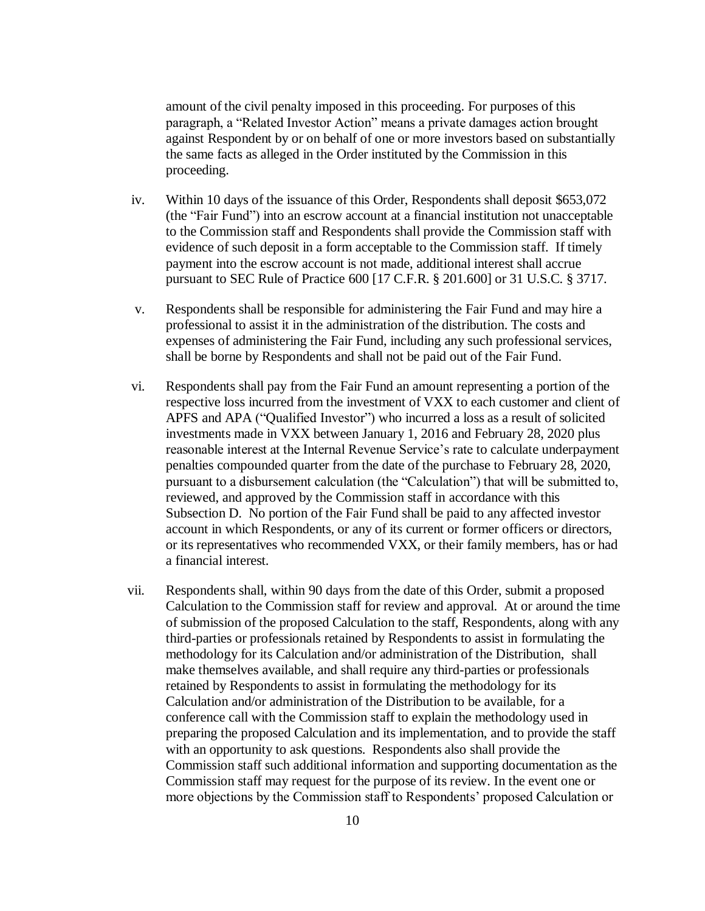amount of the civil penalty imposed in this proceeding. For purposes of this paragraph, a "Related Investor Action" means a private damages action brought against Respondent by or on behalf of one or more investors based on substantially the same facts as alleged in the Order instituted by the Commission in this proceeding.

- iv. Within 10 days of the issuance of this Order, Respondents shall deposit \$653,072 (the "Fair Fund") into an escrow account at a financial institution not unacceptable to the Commission staff and Respondents shall provide the Commission staff with evidence of such deposit in a form acceptable to the Commission staff. If timely payment into the escrow account is not made, additional interest shall accrue pursuant to SEC Rule of Practice 600 [17 C.F.R. § 201.600] or 31 U.S.C. § 3717.
- v. Respondents shall be responsible for administering the Fair Fund and may hire a professional to assist it in the administration of the distribution. The costs and expenses of administering the Fair Fund, including any such professional services, shall be borne by Respondents and shall not be paid out of the Fair Fund.
- vi. Respondents shall pay from the Fair Fund an amount representing a portion of the respective loss incurred from the investment of VXX to each customer and client of APFS and APA ("Qualified Investor") who incurred a loss as a result of solicited investments made in VXX between January 1, 2016 and February 28, 2020 plus reasonable interest at the Internal Revenue Service's rate to calculate underpayment penalties compounded quarter from the date of the purchase to February 28, 2020, pursuant to a disbursement calculation (the "Calculation") that will be submitted to, reviewed, and approved by the Commission staff in accordance with this Subsection D. No portion of the Fair Fund shall be paid to any affected investor account in which Respondents, or any of its current or former officers or directors, or its representatives who recommended VXX, or their family members, has or had a financial interest.
- vii. Respondents shall, within 90 days from the date of this Order, submit a proposed Calculation to the Commission staff for review and approval. At or around the time of submission of the proposed Calculation to the staff, Respondents, along with any third-parties or professionals retained by Respondents to assist in formulating the methodology for its Calculation and/or administration of the Distribution, shall make themselves available, and shall require any third-parties or professionals retained by Respondents to assist in formulating the methodology for its Calculation and/or administration of the Distribution to be available, for a conference call with the Commission staff to explain the methodology used in preparing the proposed Calculation and its implementation, and to provide the staff with an opportunity to ask questions. Respondents also shall provide the Commission staff such additional information and supporting documentation as the Commission staff may request for the purpose of its review. In the event one or more objections by the Commission staff to Respondents' proposed Calculation or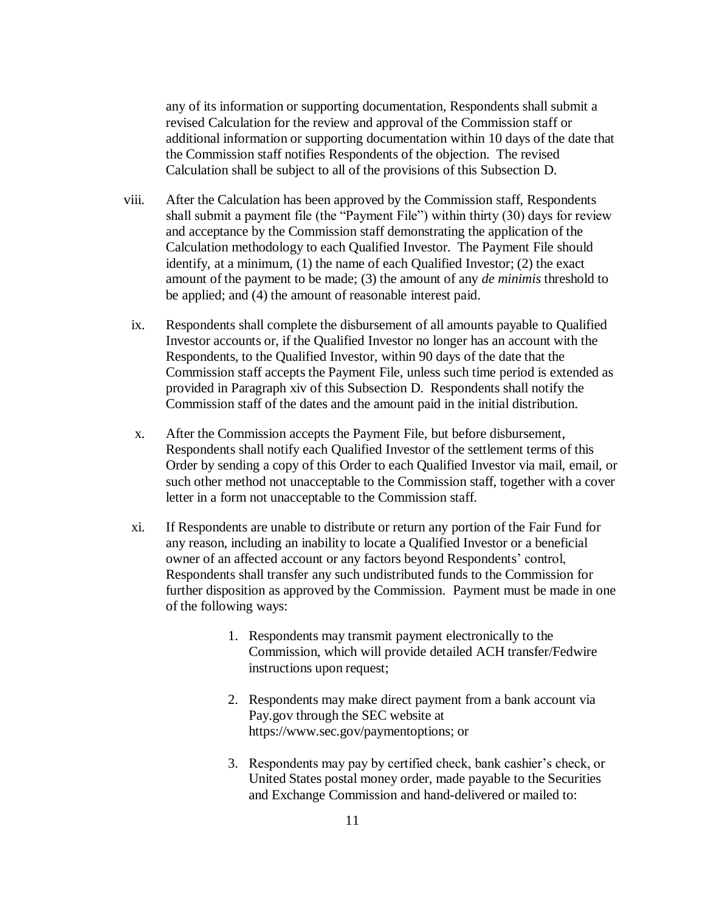any of its information or supporting documentation, Respondents shall submit a revised Calculation for the review and approval of the Commission staff or additional information or supporting documentation within 10 days of the date that the Commission staff notifies Respondents of the objection. The revised Calculation shall be subject to all of the provisions of this Subsection D.

- viii. After the Calculation has been approved by the Commission staff, Respondents shall submit a payment file (the "Payment File") within thirty (30) days for review and acceptance by the Commission staff demonstrating the application of the Calculation methodology to each Qualified Investor. The Payment File should identify, at a minimum, (1) the name of each Qualified Investor; (2) the exact amount of the payment to be made; (3) the amount of any *de minimis* threshold to be applied; and (4) the amount of reasonable interest paid.
- ix. Respondents shall complete the disbursement of all amounts payable to Qualified Investor accounts or, if the Qualified Investor no longer has an account with the Respondents, to the Qualified Investor, within 90 days of the date that the Commission staff accepts the Payment File, unless such time period is extended as provided in Paragraph xiv of this Subsection D. Respondents shall notify the Commission staff of the dates and the amount paid in the initial distribution.
- x. After the Commission accepts the Payment File, but before disbursement, Respondents shall notify each Qualified Investor of the settlement terms of this Order by sending a copy of this Order to each Qualified Investor via mail, email, or such other method not unacceptable to the Commission staff, together with a cover letter in a form not unacceptable to the Commission staff.
- xi. If Respondents are unable to distribute or return any portion of the Fair Fund for any reason, including an inability to locate a Qualified Investor or a beneficial owner of an affected account or any factors beyond Respondents' control, Respondents shall transfer any such undistributed funds to the Commission for further disposition as approved by the Commission. Payment must be made in one of the following ways:
	- 1. Respondents may transmit payment electronically to the Commission, which will provide detailed ACH transfer/Fedwire instructions upon request;
	- 2. Respondents may make direct payment from a bank account via Pay.gov through the SEC website at https://www.sec.gov/paymentoptions; or
	- 3. Respondents may pay by certified check, bank cashier's check, or United States postal money order, made payable to the Securities and Exchange Commission and hand-delivered or mailed to: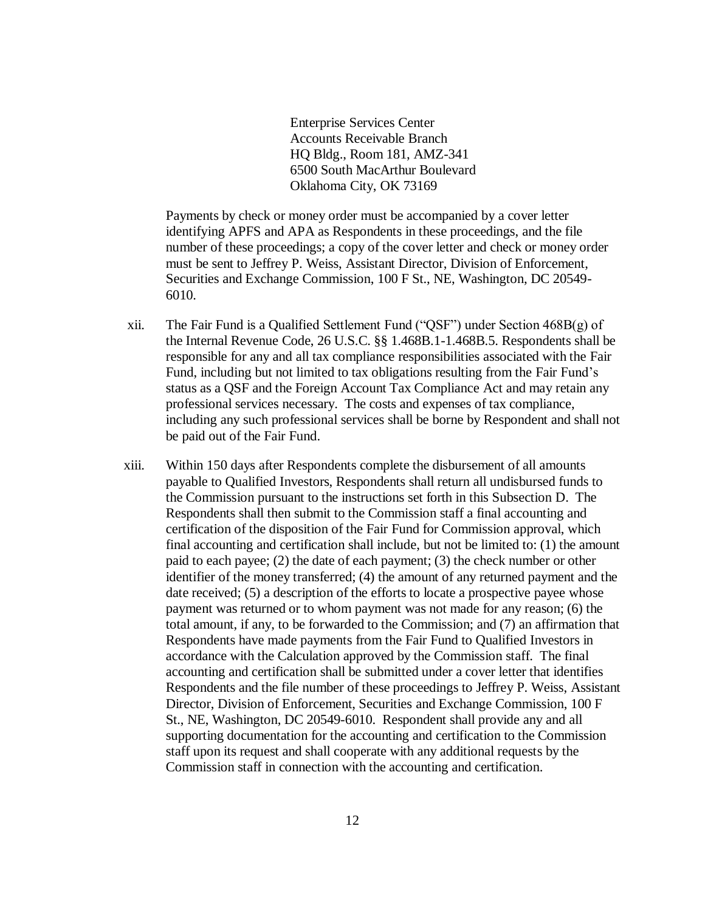Enterprise Services Center Accounts Receivable Branch HQ Bldg., Room 181, AMZ-341 6500 South MacArthur Boulevard Oklahoma City, OK 73169

Payments by check or money order must be accompanied by a cover letter identifying APFS and APA as Respondents in these proceedings, and the file number of these proceedings; a copy of the cover letter and check or money order must be sent to Jeffrey P. Weiss, Assistant Director, Division of Enforcement, Securities and Exchange Commission, 100 F St., NE, Washington, DC 20549- 6010.

- xii. The Fair Fund is a Qualified Settlement Fund ("QSF") under Section  $468B(g)$  of the Internal Revenue Code, 26 U.S.C. §§ 1.468B.1-1.468B.5. Respondents shall be responsible for any and all tax compliance responsibilities associated with the Fair Fund, including but not limited to tax obligations resulting from the Fair Fund's status as a QSF and the Foreign Account Tax Compliance Act and may retain any professional services necessary. The costs and expenses of tax compliance, including any such professional services shall be borne by Respondent and shall not be paid out of the Fair Fund.
- xiii. Within 150 days after Respondents complete the disbursement of all amounts payable to Qualified Investors, Respondents shall return all undisbursed funds to the Commission pursuant to the instructions set forth in this Subsection D. The Respondents shall then submit to the Commission staff a final accounting and certification of the disposition of the Fair Fund for Commission approval, which final accounting and certification shall include, but not be limited to: (1) the amount paid to each payee; (2) the date of each payment; (3) the check number or other identifier of the money transferred; (4) the amount of any returned payment and the date received; (5) a description of the efforts to locate a prospective payee whose payment was returned or to whom payment was not made for any reason; (6) the total amount, if any, to be forwarded to the Commission; and (7) an affirmation that Respondents have made payments from the Fair Fund to Qualified Investors in accordance with the Calculation approved by the Commission staff. The final accounting and certification shall be submitted under a cover letter that identifies Respondents and the file number of these proceedings to Jeffrey P. Weiss, Assistant Director, Division of Enforcement, Securities and Exchange Commission, 100 F St., NE, Washington, DC 20549-6010. Respondent shall provide any and all supporting documentation for the accounting and certification to the Commission staff upon its request and shall cooperate with any additional requests by the Commission staff in connection with the accounting and certification.